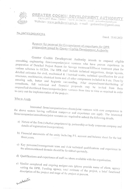

GREATER COCHIN DEVELOPMENT AUTHORITY

P.B.No.2012 Phone: 2205061  $\sqrt{[X \times 9] \cdot 484}$  206230: e-mail – gcdaonline@gmail.com Website:- www.gcda.kerala.gov.in. e-mail - gcdaonline@gmail.com

## No. 3447/E1/2021/GCDA

Dated, 25.02.2022

## Request for proposal for Empanelment of consultants for DPR preparation issued by Greater Cochin Development Authority

Greater Cochin Development Authority intends to empanel eligible consulting engineering firm/companies/joint ventures who have proven experience in preparation of Detailed Project Report for Sewage treatment/Efflluent treatment plant for various schemes in GCDA. The DPR shall include technical suggestions, design layouts, detailed estimates for civil, mechanical & Electrical works, technical specification for civil structures, machineries, electrical items and all other components included in it etc. There by ensuring safe, better and hygienic surrounding. After empanelment/shortlisiting of consultants, full technical and financial proposals may be invited from these empanelled/shortlisted firms/companies/joint ventures from time to time as required in order to carry out the implementation of the projects.

## Who to Apply

Interested firms/companies/consultants/joint ventures with core competence in the above sectors having sufficient manpower and experience can apply. The interested firms/companies/consultants/joint ventures are required to submit the following details.

- a) Nature of the firm (whether proprietorship, partnership or body corporate company and details of registration/incorporation).
- b) Financial statements of the entity including P/L account and balance sheet for the last
- c) Key personnel/management team and their technical qualifications and experience in the aforementioned domain should be furnished spertately.
- d) Qualifications and experience of staff members available with the organization.
- e) Similar completed and ongoing assignments (please provide name of client, agency vetting the DPR. Funding agency, total estimate of the project, a brief functional description of the project and stage of the project at present.

website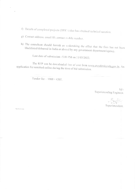- f) Details of completed projects (DPR's) that has obtained technical sanction.
- g) Contact address, email ID, contact mobile number.
- h) The consultant should furnish an undertaking the effect that the firm has not been blacklisted/debarred in India or abroad by any government department/agency.

Last date of submission : 5.00 PM on 11/03/2022.

The RFP can be downloaded free of cost from www.etenderskerala.gov.in. An application fee remitted online during the time of bid submission.

Tender fee  $-1000 + GST$ .

 $Sd$ /-Superintending Engineer.

Sapre Superintendent.

Mtk-26 02 2022